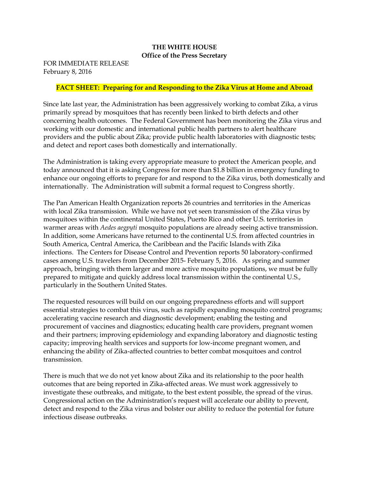#### **THE WHITE HOUSE Office of the Press Secretary**

FOR IMMEDIATE RELEASE February 8, 2016

### **FACT SHEET: Preparing for and Responding to the Zika Virus at Home and Abroad**

Since late last year, the Administration has been aggressively working to combat Zika, a virus primarily spread by mosquitoes that has recently been linked to birth defects and other concerning health outcomes. The Federal Government has been monitoring the Zika virus and working with our domestic and international public health partners to alert healthcare providers and the public about Zika; provide public health laboratories with diagnostic tests; and detect and report cases both domestically and internationally.

The Administration is taking every appropriate measure to protect the American people, and today announced that it is asking Congress for more than \$1.8 billion in emergency funding to enhance our ongoing efforts to prepare for and respond to the Zika virus, both domestically and internationally. The Administration will submit a formal request to Congress shortly.

The Pan American Health Organization reports 26 countries and territories in the Americas with local Zika transmission. While we have not yet seen transmission of the Zika virus by mosquitoes within the continental United States, Puerto Rico and other U.S. territories in warmer areas with *Aedes aegpyti* mosquito populations are already seeing active transmission. In addition, some Americans have returned to the continental U.S. from affected countries in South America, Central America, the Caribbean and the Pacific Islands with Zika infections. The Centers for Disease Control and Prevention reports 50 laboratory-confirmed cases among U.S. travelers from December 2015- February 5, 2016. As spring and summer approach, bringing with them larger and more active mosquito populations, we must be fully prepared to mitigate and quickly address local transmission within the continental U.S., particularly in the Southern United States.

The requested resources will build on our ongoing preparedness efforts and will support essential strategies to combat this virus, such as rapidly expanding mosquito control programs; accelerating vaccine research and diagnostic development; enabling the testing and procurement of vaccines and diagnostics; educating health care providers, pregnant women and their partners; improving epidemiology and expanding laboratory and diagnostic testing capacity; improving health services and supports for low-income pregnant women, and enhancing the ability of Zika-affected countries to better combat mosquitoes and control transmission.

There is much that we do not yet know about Zika and its relationship to the poor health outcomes that are being reported in Zika-affected areas. We must work aggressively to investigate these outbreaks, and mitigate, to the best extent possible, the spread of the virus. Congressional action on the Administration's request will accelerate our ability to prevent, detect and respond to the Zika virus and bolster our ability to reduce the potential for future infectious disease outbreaks.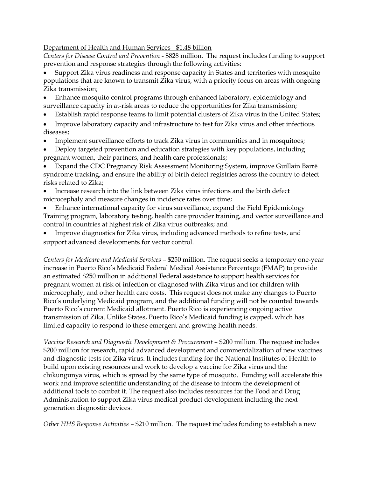### Department of Health and Human Services - \$1.48 billion

*Centers for Disease Control and Prevention* - \$828 million. The request includes funding to support prevention and response strategies through the following activities:

 Support Zika virus readiness and response capacity in States and territories with mosquito populations that are known to transmit Zika virus, with a priority focus on areas with ongoing Zika transmission;

- Enhance mosquito control programs through enhanced laboratory, epidemiology and surveillance capacity in at-risk areas to reduce the opportunities for Zika transmission;
- Establish rapid response teams to limit potential clusters of Zika virus in the United States;
- Improve laboratory capacity and infrastructure to test for Zika virus and other infectious diseases;
- Implement surveillance efforts to track Zika virus in communities and in mosquitoes;
- Deploy targeted prevention and education strategies with key populations, including pregnant women, their partners, and health care professionals;

 Expand the CDC Pregnancy Risk Assessment Monitoring System, improve Guillain Barré syndrome tracking, and ensure the ability of birth defect registries across the country to detect risks related to Zika;

 Increase research into the link between Zika virus infections and the birth defect microcephaly and measure changes in incidence rates over time;

 Enhance international capacity for virus surveillance, expand the Field Epidemiology Training program, laboratory testing, health care provider training, and vector surveillance and control in countries at highest risk of Zika virus outbreaks; and

 Improve diagnostics for Zika virus, including advanced methods to refine tests, and support advanced developments for vector control.

*Centers for Medicare and Medicaid Services –* \$250 million*.* The request seeks a temporary one-year increase in Puerto Rico's Medicaid Federal Medical Assistance Percentage (FMAP) to provide an estimated \$250 million in additional Federal assistance to support health services for pregnant women at risk of infection or diagnosed with Zika virus and for children with microcephaly, and other health care costs. This request does not make any changes to Puerto Rico's underlying Medicaid program, and the additional funding will not be counted towards Puerto Rico's current Medicaid allotment. Puerto Rico is experiencing ongoing active transmission of Zika. Unlike States, Puerto Rico's Medicaid funding is capped, which has limited capacity to respond to these emergent and growing health needs.

*Vaccine Research and Diagnostic Development & Procurement – \$200 million. The request includes* \$200 million for research, rapid advanced development and commercialization of new vaccines and diagnostic tests for Zika virus. It includes funding for the National Institutes of Health to build upon existing resources and work to develop a vaccine for Zika virus and the chikungunya virus, which is spread by the same type of mosquito. Funding will accelerate this work and improve scientific understanding of the disease to inform the development of additional tools to combat it. The request also includes resources for the Food and Drug Administration to support Zika virus medical product development including the next generation diagnostic devices.

*Other HHS Response Activities –* \$210 million. The request includes funding to establish a new